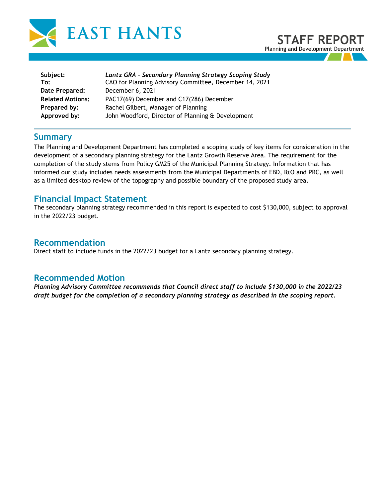



| Subject:                | Lantz GRA - Secondary Planning Strategy Scoping Study  |
|-------------------------|--------------------------------------------------------|
| To:                     | CAO for Planning Advisory Committee, December 14, 2021 |
| Date Prepared:          | December 6, 2021                                       |
| <b>Related Motions:</b> | PAC17(69) December and C17(286) December               |
| Prepared by:            | Rachel Gilbert, Manager of Planning                    |
| Approved by:            | John Woodford, Director of Planning & Development      |

### **Summary**

The Planning and Development Department has completed a scoping study of key items for consideration in the development of a secondary planning strategy for the Lantz Growth Reserve Area. The requirement for the completion of the study stems from Policy GM25 of the Municipal Planning Strategy. Information that has informed our study includes needs assessments from the Municipal Departments of EBD, I&O and PRC, as well as a limited desktop review of the topography and possible boundary of the proposed study area.

## **Financial Impact Statement**

The secondary planning strategy recommended in this report is expected to cost \$130,000, subject to approval in the 2022/23 budget.

## **Recommendation**

Direct staff to include funds in the 2022/23 budget for a Lantz secondary planning strategy.

## **Recommended Motion**

*Planning Advisory Committee recommends that Council direct staff to include \$130,000 in the 2022/23 draft budget for the completion of a secondary planning strategy as described in the scoping report.*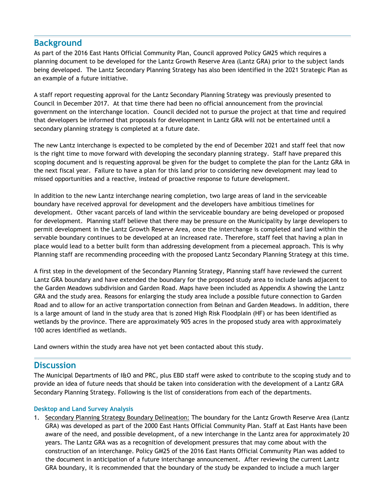## **Background**

As part of the 2016 East Hants Official Community Plan, Council approved Policy GM25 which requires a planning document to be developed for the Lantz Growth Reserve Area (Lantz GRA) prior to the subject lands being developed. The Lantz Secondary Planning Strategy has also been identified in the 2021 Strategic Plan as an example of a future initiative.

A staff report requesting approval for the Lantz Secondary Planning Strategy was previously presented to Council in December 2017. At that time there had been no official announcement from the provincial government on the interchange location. Council decided not to pursue the project at that time and required that developers be informed that proposals for development in Lantz GRA will not be entertained until a secondary planning strategy is completed at a future date.

The new Lantz interchange is expected to be completed by the end of December 2021 and staff feel that now is the right time to move forward with developing the secondary planning strategy. Staff have prepared this scoping document and is requesting approval be given for the budget to complete the plan for the Lantz GRA in the next fiscal year. Failure to have a plan for this land prior to considering new development may lead to missed opportunities and a reactive, instead of proactive response to future development.

In addition to the new Lantz interchange nearing completion, two large areas of land in the serviceable boundary have received approval for development and the developers have ambitious timelines for development. Other vacant parcels of land within the serviceable boundary are being developed or proposed for development. Planning staff believe that there may be pressure on the Municipality by large developers to permit development in the Lantz Growth Reserve Area, once the interchange is completed and land within the servable boundary continues to be developed at an increased rate. Therefore, staff feel that having a plan in place would lead to a better built form than addressing development from a piecemeal approach. This is why Planning staff are recommending proceeding with the proposed Lantz Secondary Planning Strategy at this time.

A first step in the development of the Secondary Planning Strategy, Planning staff have reviewed the current Lantz GRA boundary and have extended the boundary for the proposed study area to include lands adjacent to the Garden Meadows subdivision and Garden Road. Maps have been included as Appendix A showing the Lantz GRA and the study area. Reasons for enlarging the study area include a possible future connection to Garden Road and to allow for an active transportation connection from Belnan and Garden Meadows. In addition, there is a large amount of land in the study area that is zoned High Risk Floodplain (HF) or has been identified as wetlands by the province. There are approximately 905 acres in the proposed study area with approximately 100 acres identified as wetlands.

Land owners within the study area have not yet been contacted about this study.

## **Discussion**

The Municipal Departments of I&O and PRC, plus EBD staff were asked to contribute to the scoping study and to provide an idea of future needs that should be taken into consideration with the development of a Lantz GRA Secondary Planning Strategy. Following is the list of considerations from each of the departments.

### **Desktop and Land Survey Analysis**

1. Secondary Planning Strategy Boundary Delineation: The boundary for the Lantz Growth Reserve Area (Lantz GRA) was developed as part of the 2000 East Hants Official Community Plan. Staff at East Hants have been aware of the need, and possible development, of a new interchange in the Lantz area for approximately 20 years. The Lantz GRA was as a recognition of development pressures that may come about with the construction of an interchange. Policy GM25 of the 2016 East Hants Official Community Plan was added to the document in anticipation of a future interchange announcement. After reviewing the current Lantz GRA boundary, it is recommended that the boundary of the study be expanded to include a much larger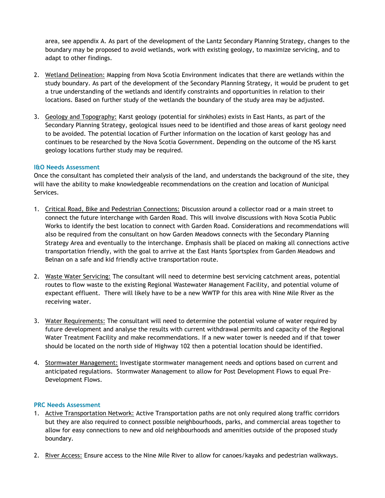area, see appendix A. As part of the development of the Lantz Secondary Planning Strategy, changes to the boundary may be proposed to avoid wetlands, work with existing geology, to maximize servicing, and to adapt to other findings.

- 2. Wetland Delineation: Mapping from Nova Scotia Environment indicates that there are wetlands within the study boundary. As part of the development of the Secondary Planning Strategy, it would be prudent to get a true understanding of the wetlands and identify constraints and opportunities in relation to their locations. Based on further study of the wetlands the boundary of the study area may be adjusted.
- 3. Geology and Topography: Karst geology (potential for sinkholes) exists in East Hants, as part of the Secondary Planning Strategy, geological issues need to be identified and those areas of karst geology need to be avoided. The potential location of Further information on the location of karst geology has and continues to be researched by the Nova Scotia Government. Depending on the outcome of the NS karst geology locations further study may be required.

### **I&O Needs Assessment**

Once the consultant has completed their analysis of the land, and understands the background of the site, they will have the ability to make knowledgeable recommendations on the creation and location of Municipal Services.

- 1. Critical Road, Bike and Pedestrian Connections: Discussion around a collector road or a main street to connect the future interchange with Garden Road. This will involve discussions with Nova Scotia Public Works to identify the best location to connect with Garden Road. Considerations and recommendations will also be required from the consultant on how Garden Meadows connects with the Secondary Planning Strategy Area and eventually to the interchange. Emphasis shall be placed on making all connections active transportation friendly, with the goal to arrive at the East Hants Sportsplex from Garden Meadows and Belnan on a safe and kid friendly active transportation route.
- 2. Waste Water Servicing: The consultant will need to determine best servicing catchment areas, potential routes to flow waste to the existing Regional Wastewater Management Facility, and potential volume of expectant effluent. There will likely have to be a new WWTP for this area with Nine Mile River as the receiving water.
- 3. Water Requirements: The consultant will need to determine the potential volume of water required by future development and analyse the results with current withdrawal permits and capacity of the Regional Water Treatment Facility and make recommendations. If a new water tower is needed and if that tower should be located on the north side of Highway 102 then a potential location should be identified.
- 4. Stormwater Management: Investigate stormwater management needs and options based on current and anticipated regulations. Stormwater Management to allow for Post Development Flows to equal Pre-Development Flows.

#### **PRC Needs Assessment**

- 1. Active Transportation Network: Active Transportation paths are not only required along traffic corridors but they are also required to connect possible neighbourhoods, parks, and commercial areas together to allow for easy connections to new and old neighbourhoods and amenities outside of the proposed study boundary.
- 2. River Access: Ensure access to the Nine Mile River to allow for canoes/kayaks and pedestrian walkways.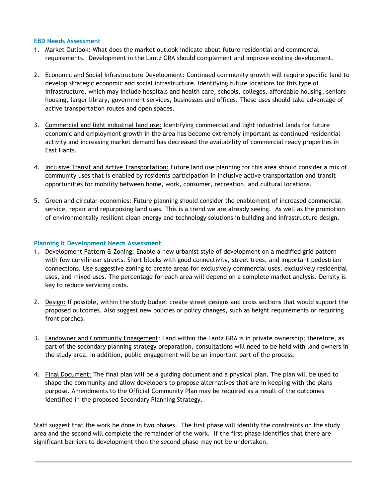### **EBD Needs Assessment**

- 1. Market Outlook: What does the market outlook indicate about future residential and commercial requirements. Development in the Lantz GRA should complement and improve existing development.
- 2. Economic and Social Infrastructure Development: Continued community growth will require specific land to develop strategic economic and social infrastructure. Identifying future locations for this type of infrastructure, which may include hospitals and health care, schools, colleges, affordable housing, seniors housing, larger library, government services, businesses and offices. These uses should take advantage of active transportation routes and open spaces.
- 3. Commercial and light industrial land use: Identifying commercial and light industrial lands for future economic and employment growth in the area has become extremely important as continued residential activity and increasing market demand has decreased the availability of commercial ready properties in East Hants.
- 4. Inclusive Transit and Active Transportation: Future land use planning for this area should consider a mix of community uses that is enabled by residents participation in inclusive active transportation and transit opportunities for mobility between home, work, consumer, recreation, and cultural locations.
- 5. Green and circular economies: Future planning should consider the enablement of increased commercial service, repair and repurposing land uses. This is a trend we are already seeing. As well as the promotion of environmentally resilient clean energy and technology solutions in building and infrastructure design.

### **Planning & Development Needs Assessment**

- 1. Development Pattern & Zoning: Enable a new urbanist style of development on a modified grid pattern with few curvilinear streets. Short blocks with good connectivity, street trees, and important pedestrian connections. Use suggestive zoning to create areas for exclusively commercial uses, exclusively residential uses, and mixed uses. The percentage for each area will depend on a complete market analysis. Density is key to reduce servicing costs.
- 2. Design: If possible, within the study budget create street designs and cross sections that would support the proposed outcomes. Also suggest new policies or policy changes, such as height requirements or requiring front porches.
- 3. Landowner and Community Engagement: Land within the Lantz GRA is in private ownership; therefore, as part of the secondary planning strategy preparation, consultations will need to be held with land owners in the study area. In addition, public engagement will be an important part of the process.
- 4. Final Document: The final plan will be a guiding document and a physical plan. The plan will be used to shape the community and allow developers to propose alternatives that are in keeping with the plans purpose. Amendments to the Official Community Plan may be required as a result of the outcomes identified in the proposed Secondary Planning Strategy.

Staff suggest that the work be done in two phases. The first phase will identify the constraints on the study area and the second will complete the remainder of the work. If the first phase identifies that there are significant barriers to development then the second phase may not be undertaken.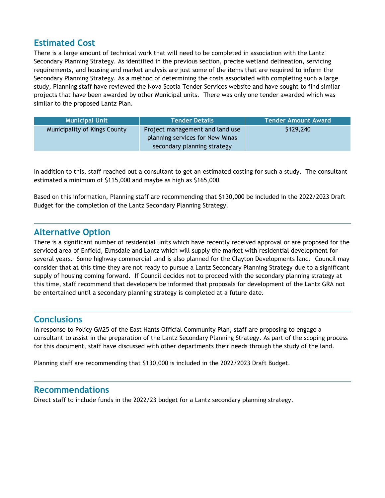# **Estimated Cost**

There is a large amount of technical work that will need to be completed in association with the Lantz Secondary Planning Strategy. As identified in the previous section, precise wetland delineation, servicing requirements, and housing and market analysis are just some of the items that are required to inform the Secondary Planning Strategy. As a method of determining the costs associated with completing such a large study, Planning staff have reviewed the Nova Scotia Tender Services website and have sought to find similar projects that have been awarded by other Municipal units. There was only one tender awarded which was similar to the proposed Lantz Plan.

| <b>Municipal Unit</b>        | <b>Tender Details</b>                                                                             | <b>Tender Amount Award</b> |
|------------------------------|---------------------------------------------------------------------------------------------------|----------------------------|
| Municipality of Kings County | Project management and land use<br>planning services for New Minas<br>secondary planning strategy | \$129,240                  |

In addition to this, staff reached out a consultant to get an estimated costing for such a study. The consultant estimated a minimum of \$115,000 and maybe as high as \$165,000

Based on this information, Planning staff are recommending that \$130,000 be included in the 2022/2023 Draft Budget for the completion of the Lantz Secondary Planning Strategy.

## **Alternative Option**

There is a significant number of residential units which have recently received approval or are proposed for the serviced area of Enfield, Elmsdale and Lantz which will supply the market with residential development for several years. Some highway commercial land is also planned for the Clayton Developments land. Council may consider that at this time they are not ready to pursue a Lantz Secondary Planning Strategy due to a significant supply of housing coming forward. If Council decides not to proceed with the secondary planning strategy at this time, staff recommend that developers be informed that proposals for development of the Lantz GRA not be entertained until a secondary planning strategy is completed at a future date.

# **Conclusions**

In response to Policy GM25 of the East Hants Official Community Plan, staff are proposing to engage a consultant to assist in the preparation of the Lantz Secondary Planning Strategy. As part of the scoping process for this document, staff have discussed with other departments their needs through the study of the land.

Planning staff are recommending that \$130,000 is included in the 2022/2023 Draft Budget.

## **Recommendations**

Direct staff to include funds in the 2022/23 budget for a Lantz secondary planning strategy.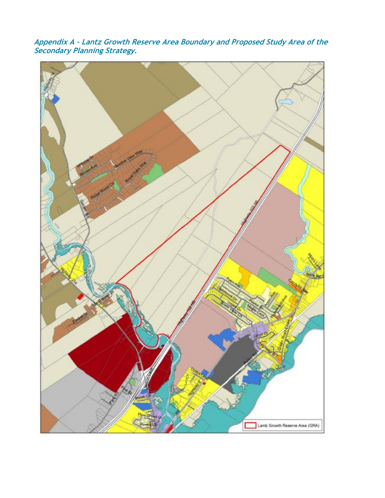**Appendix A – Lantz Growth Reserve Area Boundary and Proposed Study Area of the Secondary Planning Strategy.**